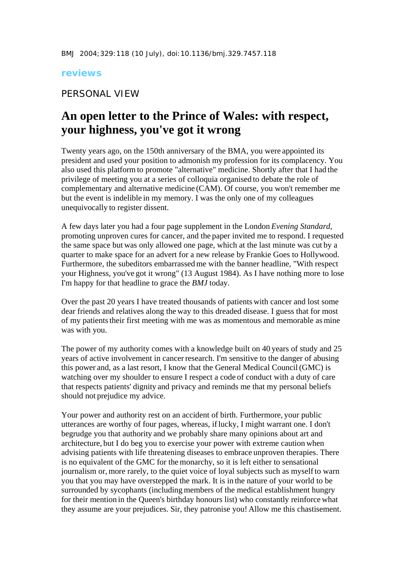## *re***views**

## PERSONAL VIEW

## **An open letter to the Prince of Wales: with respect, your highness, you've got it wrong**

Twenty years ago, on the 150th anniversary of the BMA, you were appointed its president and used your position to admonish my profession for its complacency. You also used this platform to promote "alternative" medicine. Shortly after that I had the privilege of meeting you at a series of colloquia organised to debate the role of complementary and alternative medicine (CAM). Of course, you won't remember me but the event is indelible in my memory. I was the only one of my colleagues unequivocally to register dissent.

A few days later you had a four page supplement in the London *Evening Standard*, promoting unproven cures for cancer, and the paper invited me to respond. I requested the same space but was only allowed one page, which at the last minute was cut by a quarter to make space for an advert for a new release by Frankie Goes to Hollywood. Furthermore, the subeditors embarrassed me with the banner headline, "With respect your Highness, you've got it wrong" (13 August 1984). As I have nothing more to lose I'm happy for that headline to grace the *BMJ* today.

Over the past 20 years I have treated thousands of patients with cancer and lost some dear friends and relatives along the way to this dreaded disease. I guess that for most of my patients their first meeting with me was as momentous and memorable as mine was with you.

The power of my authority comes with a knowledge built on 40 years of study and 25 years of active involvement in cancerresearch. I'm sensitive to the danger of abusing this power and, as a last resort, I know that the General Medical Council(GMC) is watching over my shoulder to ensure I respect a code of conduct with a duty of care that respects patients' dignity and privacy and reminds me that my personal beliefs should not prejudice my advice.

Your power and authority rest on an accident of birth. Furthermore, your public utterances are worthy of four pages, whereas, iflucky, I might warrant one. I don't begrudge you that authority and we probably share many opinions about art and architecture, but I do beg you to exercise your power with extreme caution when advising patients with life threatening diseases to embrace unproven therapies. There is no equivalent of the GMC for the monarchy, so it is left either to sensational journalism or, more rarely, to the quiet voice of loyal subjects such as myselfto warn you that you may have overstepped the mark. It is in the nature of your world to be surrounded by sycophants (including members of the medical establishment hungry for their mention in the Queen's birthday honours list) who constantly reinforce what they assume are your prejudices. Sir, they patronise you! Allow me this chastisement.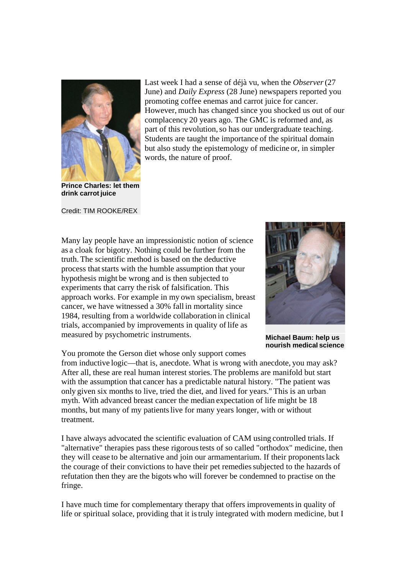

**Prince Charles: let them drink carrot juice**

Credit: TIM ROOKE/REX

Many lay people have an impressionistic notion of science as a cloak for bigotry. Nothing could be further from the truth. The scientific method is based on the deductive process that starts with the humble assumption that your hypothesis might be wrong and is then subjected to experiments that carry the risk of falsification. This approach works. For example in my own specialism, breast cancer, we have witnessed a 30% fall in mortality since 1984, resulting from a worldwide collaboration in clinical trials, accompanied by improvements in quality of life as measured by psychometric instruments.



Last week I had a sense of déjà vu, when the *Observer*(27 June) and *Daily Express* (28 June) newspapers reported you

However, much has changed since you shocked us out of our complacency 20 years ago. The GMC is reformed and, as part of this revolution, so has our undergraduate teaching. Students are taught the importance of the spiritual domain but also study the epistemology of medicine or, in simpler

promoting coffee enemas and carrot juice for cancer.

words, the nature of proof.

**Michael Baum: help us nourish medical science**

You promote the Gerson diet whose only support comes from inductive logic—that is, anecdote. What is wrong with anecdote, you may ask? After all, these are real human interest stories. The problems are manifold but start with the assumption that cancer has a predictable natural history. "The patient was only given six months to live, tried the diet, and lived for years." This is an urban myth. With advanced breast cancer the median expectation of life might be 18 months, but many of my patients live for many years longer, with or without treatment.

I have always advocated the scientific evaluation of CAM using controlled trials. If "alternative" therapies pass these rigoroustests of so called "orthodox" medicine, then they will cease to be alternative and join our armamentarium. If their proponentslack the courage of their convictions to have their pet remediessubjected to the hazards of refutation then they are the bigots who will forever be condemned to practise on the fringe.

I have much time for complementary therapy that offers improvementsin quality of life or spiritual solace, providing that it istruly integrated with modern medicine, but I